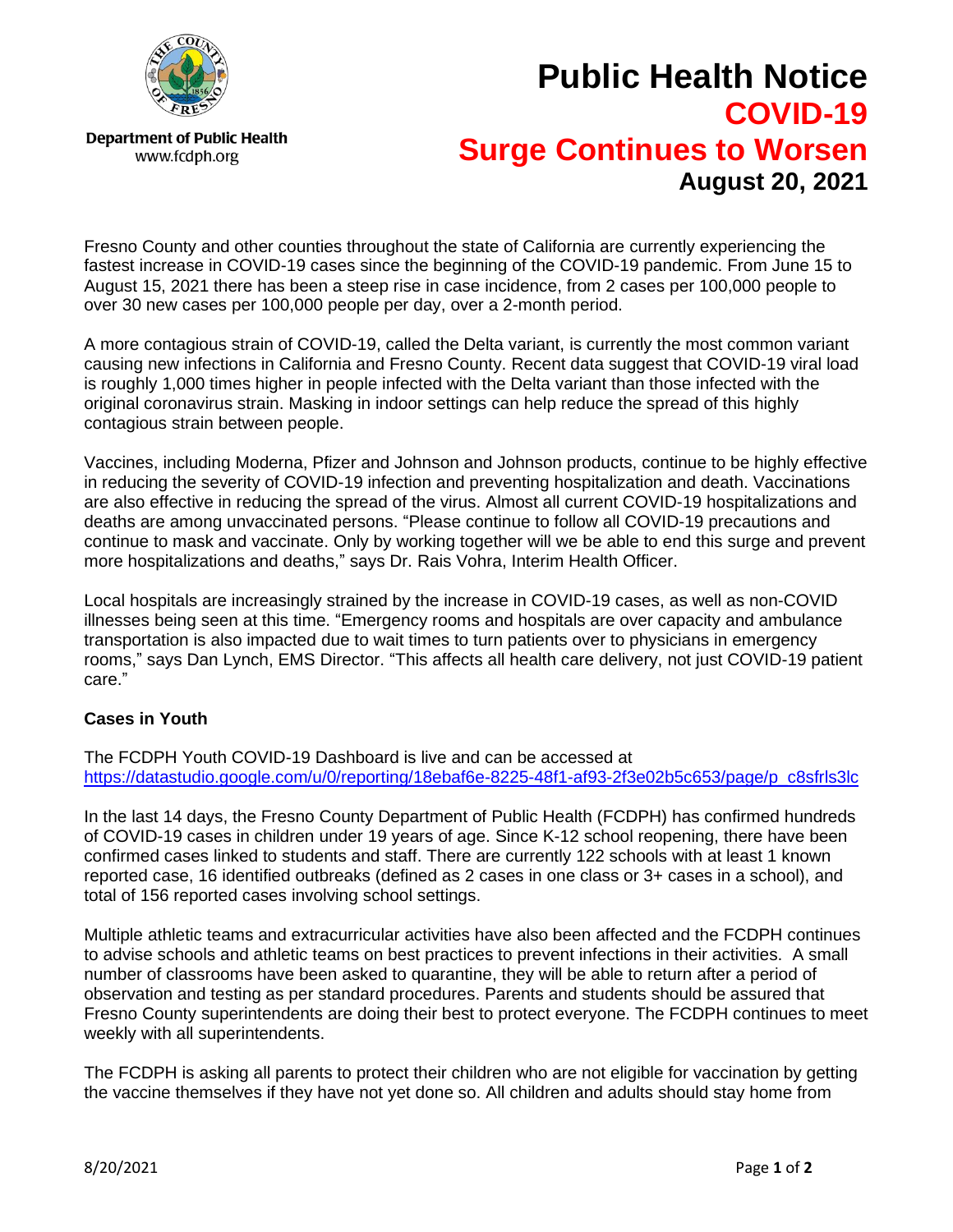

**Department of Public Health** www.fcdph.org

**Public Health Notice COVID-19 Surge Continues to Worsen August 20, 2021**

Fresno County and other counties throughout the state of California are currently experiencing the fastest increase in COVID-19 cases since the beginning of the COVID-19 pandemic. From June 15 to August 15, 2021 there has been a steep rise in case incidence, from 2 cases per 100,000 people to over 30 new cases per 100,000 people per day, over a 2-month period.

A more contagious strain of COVID-19, called the Delta variant, is currently the most common variant causing new infections in California and Fresno County. Recent data suggest that COVID-19 viral load is roughly 1,000 times higher in people infected with the Delta variant than those infected with the original coronavirus strain. Masking in indoor settings can help reduce the spread of this highly contagious strain between people.

Vaccines, including Moderna, Pfizer and Johnson and Johnson products, continue to be highly effective in reducing the severity of COVID-19 infection and preventing hospitalization and death. Vaccinations are also effective in reducing the spread of the virus. Almost all current COVID-19 hospitalizations and deaths are among unvaccinated persons. "Please continue to follow all COVID-19 precautions and continue to mask and vaccinate. Only by working together will we be able to end this surge and prevent more hospitalizations and deaths," says Dr. Rais Vohra, Interim Health Officer.

Local hospitals are increasingly strained by the increase in COVID-19 cases, as well as non-COVID illnesses being seen at this time. "Emergency rooms and hospitals are over capacity and ambulance transportation is also impacted due to wait times to turn patients over to physicians in emergency rooms," says Dan Lynch, EMS Director. "This affects all health care delivery, not just COVID-19 patient care."

## **Cases in Youth**

The FCDPH Youth COVID-19 Dashboard is live and can be accessed at [https://datastudio.google.com/u/0/reporting/18ebaf6e-8225-48f1-af93-2f3e02b5c653/page/p\\_c8sfrls3lc](https://datastudio.google.com/u/0/reporting/18ebaf6e-8225-48f1-af93-2f3e02b5c653/page/p_c8sfrls3lc)

In the last 14 days, the Fresno County Department of Public Health (FCDPH) has confirmed hundreds of COVID-19 cases in children under 19 years of age. Since K-12 school reopening, there have been confirmed cases linked to students and staff. There are currently 122 schools with at least 1 known reported case, 16 identified outbreaks (defined as 2 cases in one class or 3+ cases in a school), and total of 156 reported cases involving school settings.

Multiple athletic teams and extracurricular activities have also been affected and the FCDPH continues to advise schools and athletic teams on best practices to prevent infections in their activities. A small number of classrooms have been asked to quarantine, they will be able to return after a period of observation and testing as per standard procedures. Parents and students should be assured that Fresno County superintendents are doing their best to protect everyone. The FCDPH continues to meet weekly with all superintendents.

The FCDPH is asking all parents to protect their children who are not eligible for vaccination by getting the vaccine themselves if they have not yet done so. All children and adults should stay home from